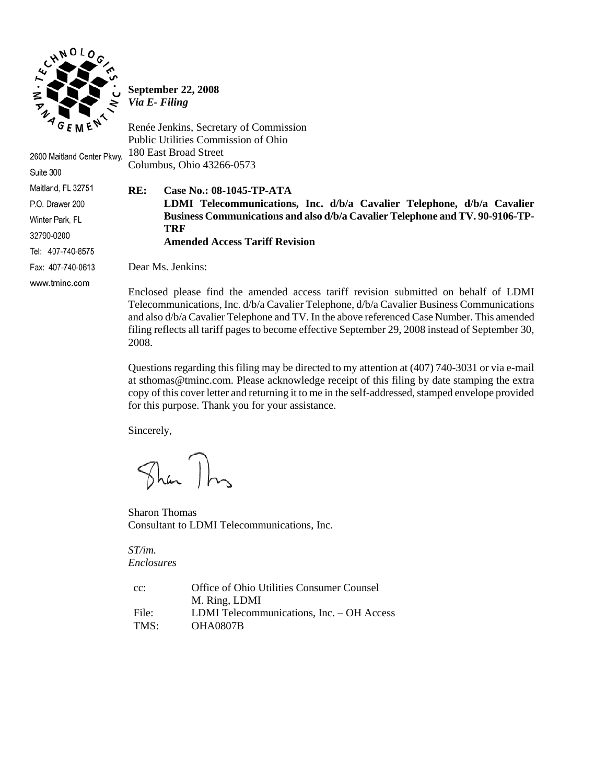

Suite 300

Maitland, FL 32751 P.O. Drawer 200 Winter Park, FL 32790-0200

Tel: 407-740-8575 Fax: 407-740-0613 www.tminc.com

**September 22, 2008**  *Via E- Filing* 

Renée Jenkins, Secretary of Commission Public Utilities Commission of Ohio 180 East Broad Street 2600 Maitland Center Pkwy. Columbus, Ohio 43266-0573

#### **RE: Case No.: 08-1045-TP-ATA**

 **LDMI Telecommunications, Inc. d/b/a Cavalier Telephone, d/b/a Cavalier Business Communications and also d/b/a Cavalier Telephone and TV. 90-9106-TP-TRF** 

 **Amended Access Tariff Revision** 

Dear Ms. Jenkins:

Enclosed please find the amended access tariff revision submitted on behalf of LDMI Telecommunications, Inc. d/b/a Cavalier Telephone, d/b/a Cavalier Business Communications and also d/b/a Cavalier Telephone and TV. In the above referenced Case Number. This amended filing reflects all tariff pages to become effective September 29, 2008 instead of September 30, 2008.

Questions regarding this filing may be directed to my attention at (407) 740-3031 or via e-mail at sthomas@tminc.com. Please acknowledge receipt of this filing by date stamping the extra copy of this cover letter and returning it to me in the self-addressed, stamped envelope provided for this purpose. Thank you for your assistance.

Sincerely,

Than This

Sharon Thomas Consultant to LDMI Telecommunications, Inc.

*ST/im. Enclosures* 

| $cc$ : | Office of Ohio Utilities Consumer Counsel |
|--------|-------------------------------------------|
|        | M. Ring, LDMI                             |
| File:  | LDMI Telecommunications, Inc. – OH Access |
| TMS:   | <b>OHA0807B</b>                           |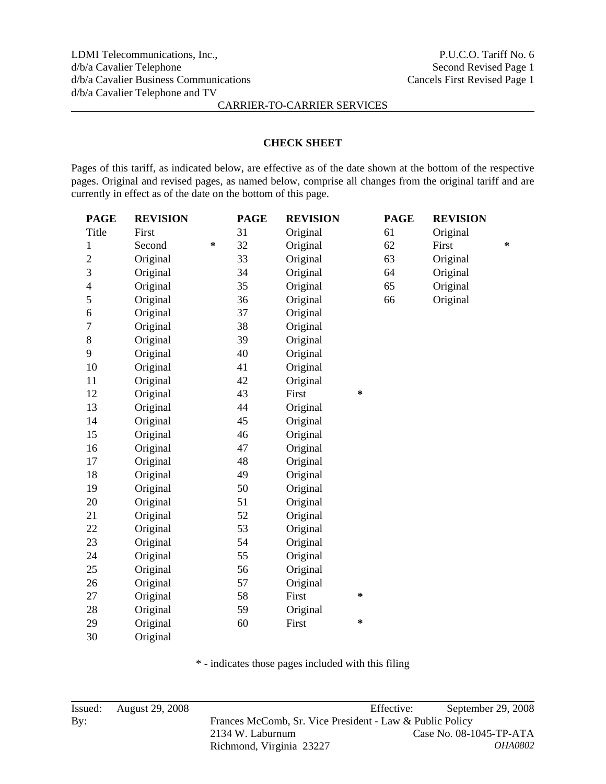#### **CHECK SHEET**

Pages of this tariff, as indicated below, are effective as of the date shown at the bottom of the respective pages. Original and revised pages, as named below, comprise all changes from the original tariff and are currently in effect as of the date on the bottom of this page.

| <b>PAGE</b>              | <b>REVISION</b> |   | <b>PAGE</b> | <b>REVISION</b> |        | <b>PAGE</b> | <b>REVISION</b> |   |
|--------------------------|-----------------|---|-------------|-----------------|--------|-------------|-----------------|---|
| Title                    | First           |   | 31          | Original        |        | 61          | Original        |   |
| 1                        | Second          | ∗ | 32          | Original        |        | 62          | First           | * |
| $\overline{2}$           | Original        |   | 33          | Original        |        | 63          | Original        |   |
| 3                        | Original        |   | 34          | Original        |        | 64          | Original        |   |
| $\overline{\mathcal{L}}$ | Original        |   | 35          | Original        |        | 65          | Original        |   |
| 5                        | Original        |   | 36          | Original        |        | 66          | Original        |   |
| 6                        | Original        |   | 37          | Original        |        |             |                 |   |
| $\overline{7}$           | Original        |   | 38          | Original        |        |             |                 |   |
| 8                        | Original        |   | 39          | Original        |        |             |                 |   |
| 9                        | Original        |   | 40          | Original        |        |             |                 |   |
| 10                       | Original        |   | 41          | Original        |        |             |                 |   |
| 11                       | Original        |   | 42          | Original        |        |             |                 |   |
| 12                       | Original        |   | 43          | First           | *      |             |                 |   |
| 13                       | Original        |   | 44          | Original        |        |             |                 |   |
| 14                       | Original        |   | 45          | Original        |        |             |                 |   |
| 15                       | Original        |   | 46          | Original        |        |             |                 |   |
| 16                       | Original        |   | 47          | Original        |        |             |                 |   |
| 17                       | Original        |   | 48          | Original        |        |             |                 |   |
| 18                       | Original        |   | 49          | Original        |        |             |                 |   |
| 19                       | Original        |   | 50          | Original        |        |             |                 |   |
| 20                       | Original        |   | 51          | Original        |        |             |                 |   |
| 21                       | Original        |   | 52          | Original        |        |             |                 |   |
| 22                       | Original        |   | 53          | Original        |        |             |                 |   |
| 23                       | Original        |   | 54          | Original        |        |             |                 |   |
| 24                       | Original        |   | 55          | Original        |        |             |                 |   |
| 25                       | Original        |   | 56          | Original        |        |             |                 |   |
| 26                       | Original        |   | 57          | Original        |        |             |                 |   |
| 27                       | Original        |   | 58          | First           | ∗      |             |                 |   |
| 28                       | Original        |   | 59          | Original        |        |             |                 |   |
| 29                       | Original        |   | 60          | First           | $\ast$ |             |                 |   |
| 30                       | Original        |   |             |                 |        |             |                 |   |

\* - indicates those pages included with this filing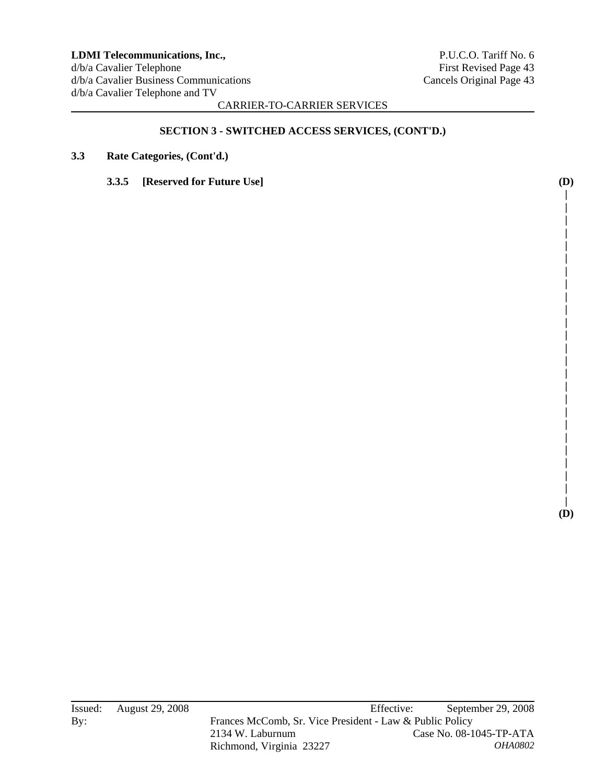**| | | | | | | | | | | | | | | | | | | | | | | | | (D)** 

CARRIER-TO-CARRIER SERVICES

# **SECTION 3 - SWITCHED ACCESS SERVICES, (CONT'D.)**

- **3.3 Rate Categories, (Cont'd.)** 
	- **3.3.5 [Reserved for Future Use] (D)**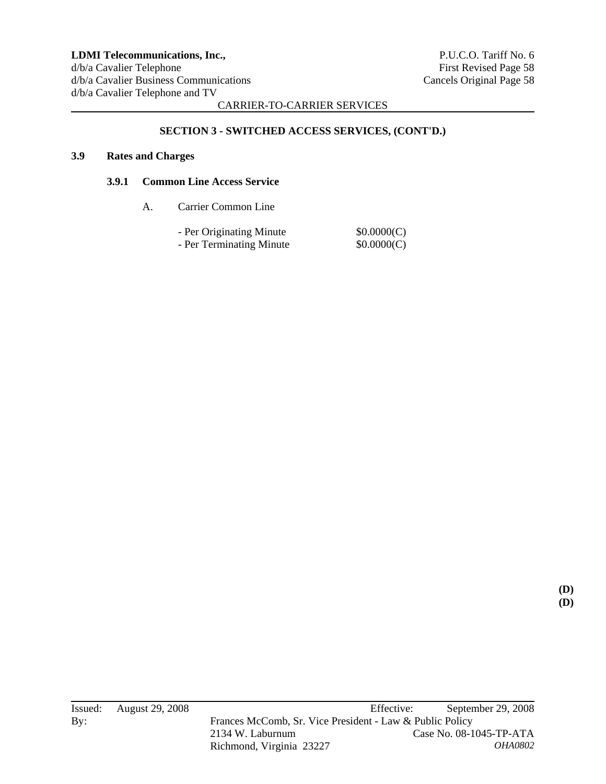# **SECTION 3 - SWITCHED ACCESS SERVICES, (CONT'D.)**

## **3.9 Rates and Charges**

#### **3.9.1 Common Line Access Service**

A. Carrier Common Line

| - Per Originating Minute | \$0.0000(C) |
|--------------------------|-------------|
| - Per Terminating Minute | \$0.0000(C) |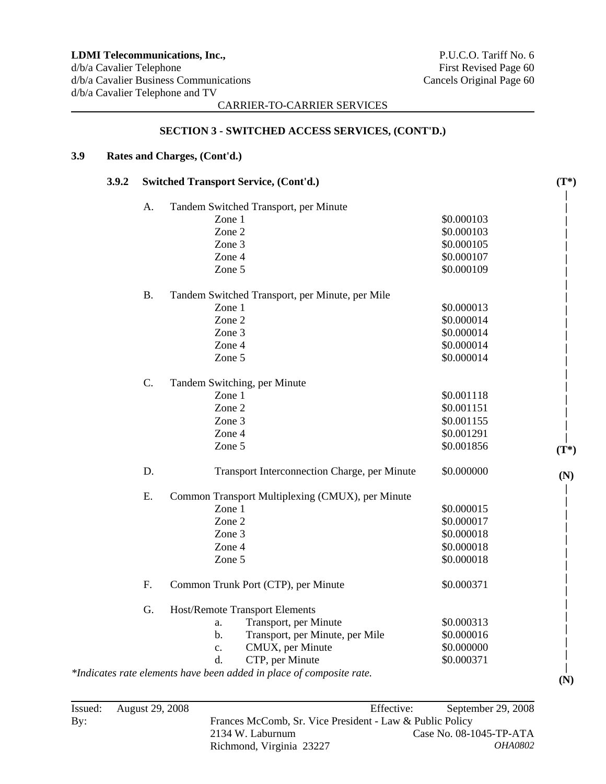#### **SECTION 3 - SWITCHED ACCESS SERVICES, (CONT'D.)**

# **3.9 Rates and Charges, (Cont'd.)**

| 3.9.2 | <b>Switched Transport Service, (Cont'd.)</b> |                                                                      |            |         |  |
|-------|----------------------------------------------|----------------------------------------------------------------------|------------|---------|--|
|       | A.                                           | Tandem Switched Transport, per Minute                                |            |         |  |
|       |                                              | Zone 1                                                               | \$0.000103 |         |  |
|       |                                              | Zone 2                                                               | \$0.000103 |         |  |
|       |                                              | Zone 3                                                               | \$0.000105 |         |  |
|       |                                              | Zone 4                                                               | \$0.000107 |         |  |
|       |                                              | Zone 5                                                               | \$0.000109 |         |  |
|       | <b>B.</b>                                    | Tandem Switched Transport, per Minute, per Mile                      |            |         |  |
|       |                                              | Zone 1                                                               | \$0.000013 |         |  |
|       |                                              | Zone 2                                                               | \$0.000014 |         |  |
|       |                                              | Zone 3                                                               | \$0.000014 |         |  |
|       |                                              | Zone 4                                                               | \$0.000014 |         |  |
|       |                                              | Zone 5                                                               | \$0.000014 |         |  |
|       | $C$ .                                        | Tandem Switching, per Minute                                         |            |         |  |
|       |                                              | Zone 1                                                               | \$0.001118 |         |  |
|       |                                              | Zone 2                                                               | \$0.001151 |         |  |
|       |                                              | Zone 3                                                               | \$0.001155 |         |  |
|       |                                              | Zone 4                                                               | \$0.001291 |         |  |
|       |                                              | Zone 5                                                               | \$0.001856 | $(T^*)$ |  |
|       | D.                                           | Transport Interconnection Charge, per Minute                         | \$0.000000 | (N)     |  |
|       | E.                                           | Common Transport Multiplexing (CMUX), per Minute                     |            |         |  |
|       |                                              | Zone 1                                                               | \$0.000015 |         |  |
|       |                                              | Zone 2                                                               | \$0.000017 |         |  |
|       |                                              | Zone 3                                                               | \$0.000018 |         |  |
|       |                                              | Zone 4                                                               | \$0.000018 |         |  |
|       |                                              | Zone 5                                                               | \$0.000018 |         |  |
|       | F.                                           | Common Trunk Port (CTP), per Minute                                  | \$0.000371 |         |  |
|       | G.                                           | <b>Host/Remote Transport Elements</b>                                |            |         |  |
|       |                                              | Transport, per Minute<br>a.                                          | \$0.000313 |         |  |
|       |                                              | Transport, per Minute, per Mile<br>$b$ .                             | \$0.000016 |         |  |
|       |                                              | CMUX, per Minute<br>$\mathbf{c}$ .                                   | \$0.000000 |         |  |
|       |                                              | d.<br>CTP, per Minute                                                | \$0.000371 |         |  |
|       |                                              | *Indicates rate elements have been added in place of composite rate. |            | (N)     |  |
|       |                                              |                                                                      |            |         |  |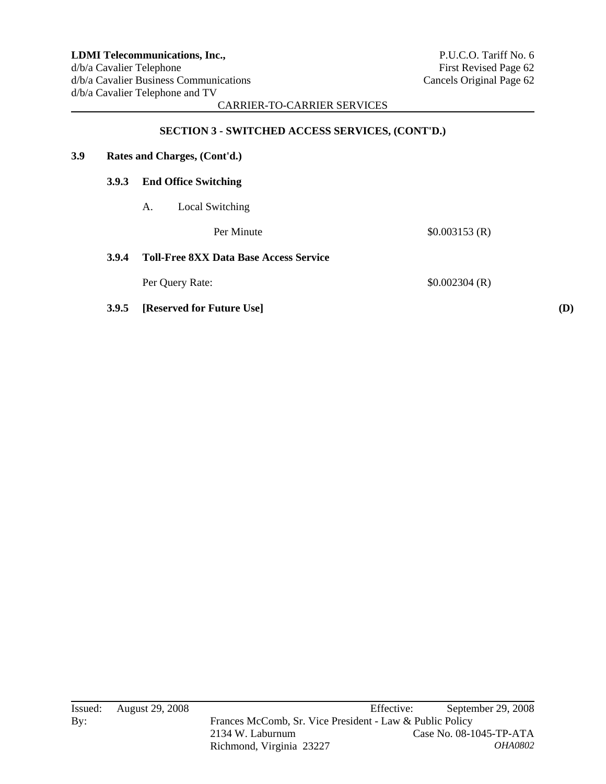## **SECTION 3 - SWITCHED ACCESS SERVICES, (CONT'D.)**

| 3.9 | Rates and Charges, (Cont'd.) |                                               |               |     |  |  |  |
|-----|------------------------------|-----------------------------------------------|---------------|-----|--|--|--|
|     | <b>3.9.3</b>                 | <b>End Office Switching</b>                   |               |     |  |  |  |
|     |                              | Local Switching<br>А.                         |               |     |  |  |  |
|     |                              | Per Minute                                    | \$0.003153(R) |     |  |  |  |
|     | 3.9.4                        | <b>Toll-Free 8XX Data Base Access Service</b> |               |     |  |  |  |
|     |                              | Per Query Rate:                               | \$0.002304(R) |     |  |  |  |
|     | 3.9.5                        | [Reserved for Future Use]                     |               | (D) |  |  |  |